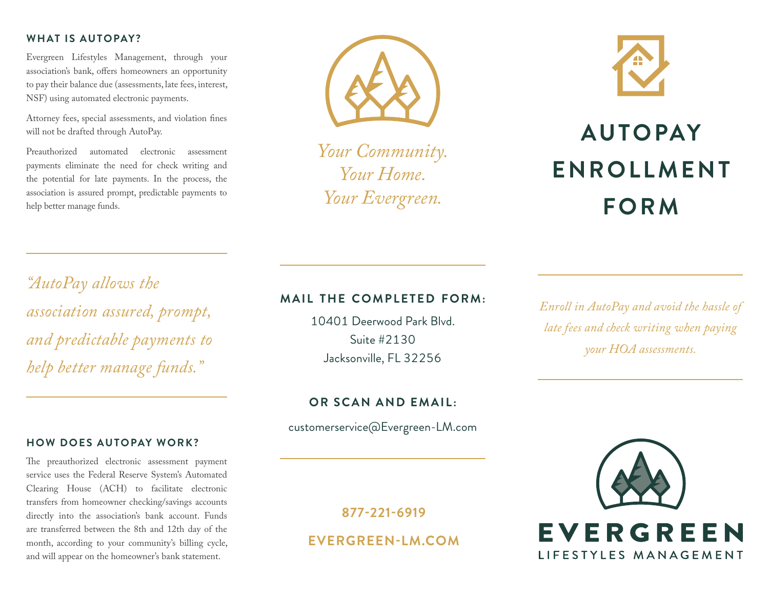## **WHAT IS AUTOPAY?**

Evergreen Lifestyles Management, through your association's bank, offers homeowners an opportunity to pay their balance due (assessments, late fees, interest, NSF) using automated electronic payments.

Attorney fees, special assessments, and violation fines will not be drafted through AutoPay.

Preauthorized automated electronic assessment payments eliminate the need for check writing and the potential for late payments. In the process, the association is assured prompt, predictable payments to help better manage funds.



*Your Community. Your Home. Your Evergreen.*



# **AUTOPAY ENROLLMENT FORM**

*"AutoPay allows the association assured, prompt, and predictable payments to help better manage funds."*

## **HOW DOES AUTOPAY WORK?**

The preauthorized electronic assessment payment service uses the Federal Reserve System's Automated Clearing House (ACH) to facilitate electronic transfers from homeowner checking/savings accounts directly into the association's bank account. Funds are transferred between the 8th and 12th day of the month, according to your community's billing cycle, and will appear on the homeowner's bank statement.

# **MAIL THE COMPLETED FORM:**

10401 Deerwood Park Blvd. Suite #2130 Jacksonville, FL 32256

*Enroll in AutoPay and avoid the hassle of late fees and check writing when paying your HOA assessments.*

**OR SCAN AND EMAIL:**

customerservice@Evergreen-LM.com

**877-221-6919 EVERGREEN-LM.COM**